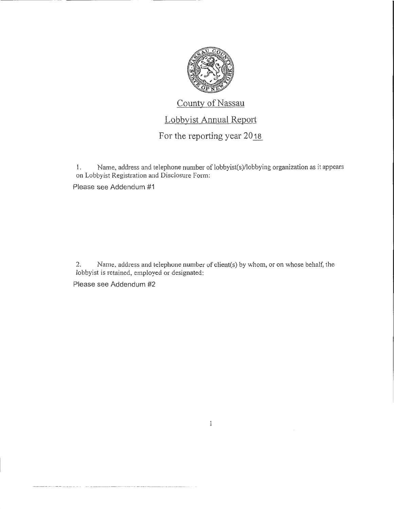

# County of Nassau

## Lobbyist Annual Report

## For the reporting year 2018

1. Name, address and telephone number of lobbyist(s)/lobbying organization as it appears on Lobbyist Registration and Disclosure Form:

Please see Addendum #1

2. Name, address and telephone number of client(s) by whom, or on whose behalf, the lobbyist is retained, employed or designated:

 $\mathbbm{1}$ 

Please see Addendum #2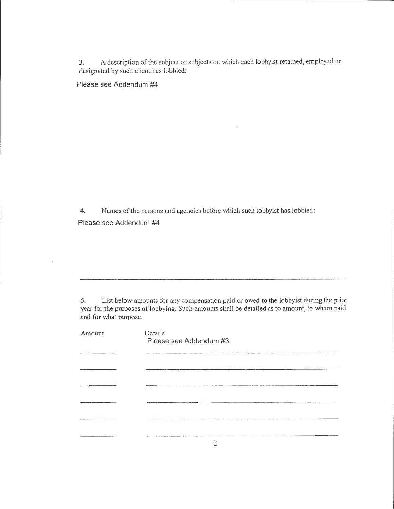3. A description of the subject or subjects on which each lobbyist retained, employed or designated by such client has lobbied:

 $\overline{a}$ 

Please see Addendum #4

4. Names of the persons and agencies before which such lobbyist has lobbied: Please see Addendum #4

5. List below amounts for any compensation paid or owed to the lobbyist during the prior year for the purposes of lobbying. Such amounts shall be detailed as to amount, to whom paid and for what purpose.

| Amount | Details<br>Please see Addendum #3                                                      |
|--------|----------------------------------------------------------------------------------------|
|        | <u> 1980 - Jan James James, margaret amerikan bizi da shekara 1980 - Ang kasaran a</u> |
|        | the control of the control of the control of the control of                            |
|        |                                                                                        |
|        |                                                                                        |
|        |                                                                                        |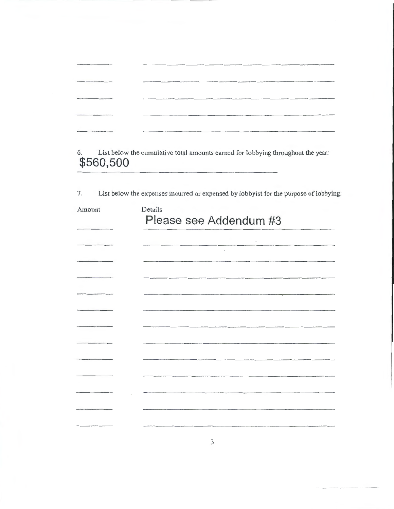6. List below the cumulative total amounts earned for lobbying throughout the year: **\$560,500** 

7. List below the expenses incurred or expensed by lobbyist for the purpose of lobbying:

| Amount      | Details<br>Please see Addendum #3                                                                                                             |  |
|-------------|-----------------------------------------------------------------------------------------------------------------------------------------------|--|
|             |                                                                                                                                               |  |
|             | $\overline{\phantom{a}}$<br>the company's company's company's company's company's company's company's company's company's company's company's |  |
|             |                                                                                                                                               |  |
|             |                                                                                                                                               |  |
| ___________ |                                                                                                                                               |  |
|             |                                                                                                                                               |  |
|             |                                                                                                                                               |  |
|             |                                                                                                                                               |  |
|             |                                                                                                                                               |  |
|             |                                                                                                                                               |  |
|             |                                                                                                                                               |  |
|             |                                                                                                                                               |  |
|             |                                                                                                                                               |  |
|             |                                                                                                                                               |  |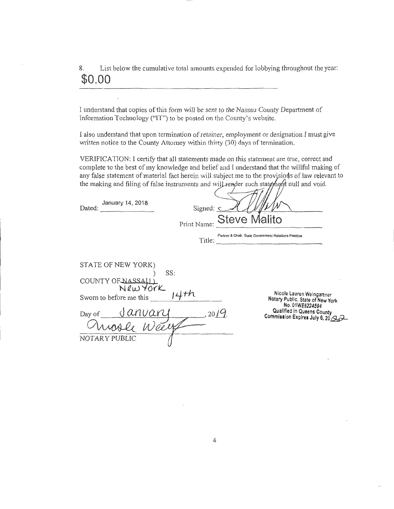8. List below the cumulative total amounts expended for lobbying throughout the year: **\$0.00** 

I understand that copies ofthis form will be sent to the Nassau County Department of Information Technology ("IT") to be posted on the County's website.

I also understand that upon termination of retainer, employment or designation I must give written notice to the County Attorney within thirty (30) days of termination.

VERIFICATION: I certify that all statements made on this statement are true, correct and complete to the best of my knowledge and belief and I understand that the willful making of any false statement of material fact herein will subject me to the provisions of law relevant to the making and filing of false instruments and will render such state heft null and void.

| January 14, 2018<br>Signed: $\subset$<br>Dated:<br>Print Name:                                                                                                     | <b>Steve Malito</b>                                                                                                                               |
|--------------------------------------------------------------------------------------------------------------------------------------------------------------------|---------------------------------------------------------------------------------------------------------------------------------------------------|
|                                                                                                                                                                    | Partner & Chalr, State Government Relations Practice<br>$Title:$ $\qquad \qquad \qquad \qquad \qquad \qquad \qquad$                               |
| STATE OF NEW YORK)<br>SS:<br>COUNTY OF NASSAU<br>NewYOrk<br>Sworn to before me this<br>$_{\text{Day of}}$ <i>danvary</i><br>.20/9<br>$11)$ De eve<br>NOTARY PUBLIC | Nicole Lauren Weingartner<br>Notary Public, State of New York<br>No. 01WE6224594<br>Qualified in Queens County<br>Commission Expires July 6, 20 2 |
|                                                                                                                                                                    |                                                                                                                                                   |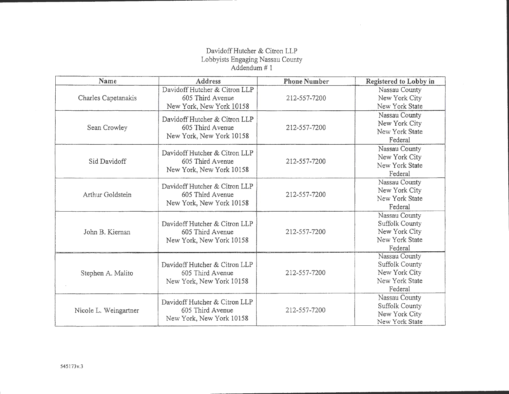#### Davidoff Hutcher & Citron LLP Lobbyists Engaging Nassau County Addendum# 1

| Name                  | Address                                                                       | <b>Phone Number</b> | Registered to Lobby in                                                        |
|-----------------------|-------------------------------------------------------------------------------|---------------------|-------------------------------------------------------------------------------|
| Charles Capetanakis   | Davidoff Hutcher & Citron LLP<br>605 Third Avenue<br>New York, New York 10158 | 212-557-7200        | Nassau County<br>New York City<br>New York State                              |
| Sean Crowley          | Davidoff Hutcher & Citron LLP<br>605 Third Avenue<br>New York, New York 10158 | 212-557-7200        | Nassau County<br>New York City<br>New York State<br>Federal                   |
| Sid Davidoff          | Davidoff Hutcher & Citron LLP<br>605 Third Avenue<br>New York, New York 10158 | 212-557-7200        | Nassau County<br>New York City<br>New York State<br>Federal                   |
| Arthur Goldstein      | Davidoff Hutcher & Citron LLP<br>605 Third Avenue<br>New York, New York 10158 | 212-557-7200        | Nassau County<br>New York City<br>New York State<br>Federal                   |
| John B. Kiernan       | Davidoff Hutcher & Citron LLP<br>605 Third Avenue<br>New York, New York 10158 | 212-557-7200        | Nassau County<br>Suffolk County<br>New York City<br>New York State<br>Federal |
| Stephen A. Malito     | Davidoff Hutcher & Citron LLP<br>605 Third Avenue<br>New York, New York 10158 | 212-557-7200        | Nassau County<br>Suffolk County<br>New York City<br>New York State<br>Federal |
| Nicole L. Weingartner | Davidoff Hutcher & Citron LLP<br>605 Third Avenue<br>New York, New York 10158 | 212-557-7200        | Nassau County<br><b>Suffolk County</b><br>New York City<br>New York State     |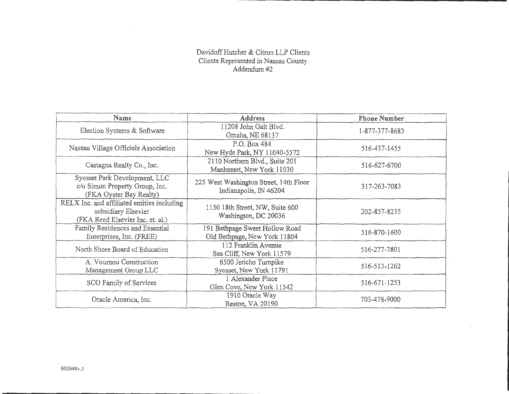#### Davidoff Butcher & Citron LLP Clients Clients Represented in Nassau County Addendum#2

 $\bar{\tau}$ 

| Name                                                                                                   | Address                                                          | <b>Phone Number</b> |
|--------------------------------------------------------------------------------------------------------|------------------------------------------------------------------|---------------------|
| Election Systems & Software                                                                            | 11208 John Galt Blvd.<br>Omaha, NE 68137                         | 1-877-377-8683      |
| Nassau Village Officials Association                                                                   | P.O. Box 484<br>New Hyde Park, NY 11040-5572                     | 516-437-1455        |
| Castagna Realty Co., Inc.                                                                              | 2110 Northern Blvd., Suite 201<br>Manhasset, New York 11030      | 516-627-6700        |
| Syosset Park Development, LLC<br>c/o Simon Property Group, Inc.<br>(FKA Oyster Bay Realty)             | 225 West Washington Street, 14th Floor<br>Indianapolis, IN 46204 | 317-263-7083        |
| RELX Inc. and affiliated entities including<br>subsidiary Elsevier<br>(FKA Reed Elsevier Inc. et. al.) | 1150 18th Street, NW, Suite 600<br>Washington, DC 20036          | 202-857-8235        |
| Family Residences and Essential<br>Enterprises, Inc. (FREE)                                            | 191 Bethpage Sweet Hollow Road<br>Old Bethpage, New York 11804   | 516-870-1600        |
| North Shore Board of Education                                                                         | 112 Franklin Avenue<br>Sea Cliff, New York 11579                 | 516-277-7801        |
| A. Vournou Construction<br>Management Group LLC                                                        | 6500 Jericho Turnpike<br>Syosset, New York 11791                 | 516-513-1262        |
| SCO Family of Services                                                                                 | 1 Alexander Place<br>Glen Cove, New York 11542                   | 516-671-1253        |
| Oracle America, Inc.                                                                                   | 1910 Oracle Way<br>Reston, VA 20190                              | 703-478-9000        |

 $\cdot$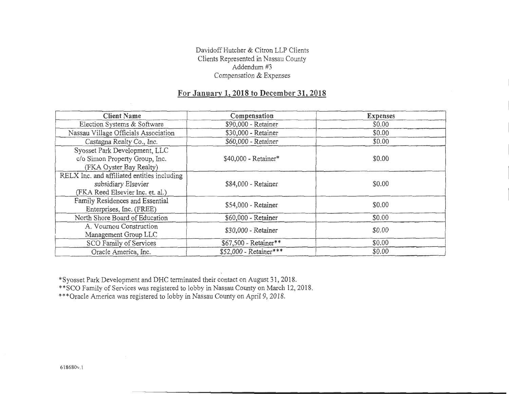#### Davidoff Hutcher & Citron LLP Clients Clients Represented in Nassau County Addendum #3 Compensation & Expenses

### For January 1, 2018 to December 31, 2018

| <b>Client Name</b>                                                                                     | Compensation           | <b>Expenses</b> |
|--------------------------------------------------------------------------------------------------------|------------------------|-----------------|
| Election Systems & Software                                                                            | \$90,000 - Retainer    | \$0.00          |
| Nassau Village Officials Association                                                                   | \$30,000 - Retainer    | \$0.00          |
| Castagna Realty Co., Inc.                                                                              | \$60,000 - Retainer    | \$0.00          |
| Syosset Park Development, LLC<br>c/o Simon Property Group, Inc.<br>(FKA Oyster Bay Realty)             | \$40,000 - Retainer*   | \$0.00          |
| RELX Inc. and affiliated entities including<br>subsidiary Elsevier<br>(FKA Reed Elsevier Inc. et. al.) | \$84,000 - Retainer    | \$0.00          |
| Family Residences and Essential<br>Enterprises, Inc. (FREE)                                            | \$54,000 - Retainer    | \$0.00          |
| North Shore Board of Education                                                                         | \$60,000 - Retainer    | \$0.00          |
| A. Vournou Construction<br>Management Group LLC                                                        | \$30,000 - Retainer    | \$0.00          |
| SCO Family of Services                                                                                 | \$67,500 - Retainer**  | \$0.00          |
| Oracle America, Inc.                                                                                   | \$52,000 - Retainer*** | \$0.00          |

\*Syosset Park Development and DHC terminated their contact on August 31, 2018.

\*\*SCO Family of Services was registered to lobby in Nassau County on March 12,2018.

\*\*\*Oracle America was registered to lobby in Nassau County on April 9, 2018.